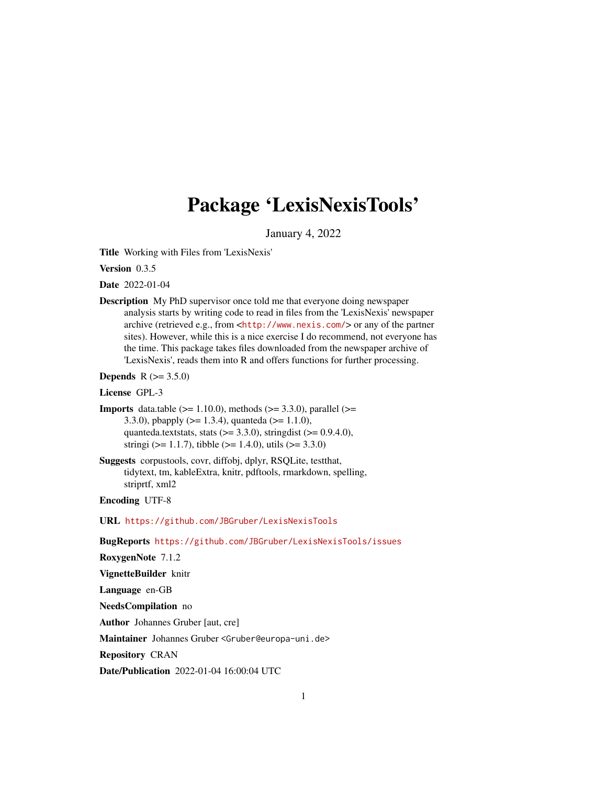# Package 'LexisNexisTools'

January 4, 2022

<span id="page-0-0"></span>Title Working with Files from 'LexisNexis'

Version 0.3.5

Date 2022-01-04

Description My PhD supervisor once told me that everyone doing newspaper analysis starts by writing code to read in files from the 'LexisNexis' newspaper archive (retrieved e.g., from <<http://www.nexis.com/>> or any of the partner sites). However, while this is a nice exercise I do recommend, not everyone has the time. This package takes files downloaded from the newspaper archive of 'LexisNexis', reads them into R and offers functions for further processing.

**Depends** R  $(>= 3.5.0)$ 

License GPL-3

```
Imports data.table (>= 1.10.0), methods (>= 3.3.0), parallel (>=3.3.0), pbapply (>= 1.3.4), quanteda (>= 1.1.0),
      quanteda.textstats, stats (>= 3.3.0), stringdist (>= 0.9.4.0),
      stringi (> = 1.1.7), tibble (> = 1.4.0), utils (> = 3.3.0)
```
Suggests corpustools, covr, diffobj, dplyr, RSQLite, testthat, tidytext, tm, kableExtra, knitr, pdftools, rmarkdown, spelling, striprtf, xml2

Encoding UTF-8

URL <https://github.com/JBGruber/LexisNexisTools>

BugReports <https://github.com/JBGruber/LexisNexisTools/issues>

RoxygenNote 7.1.2

VignetteBuilder knitr

Language en-GB

NeedsCompilation no

Author Johannes Gruber [aut, cre]

Maintainer Johannes Gruber <Gruber@europa-uni.de>

Repository CRAN

Date/Publication 2022-01-04 16:00:04 UTC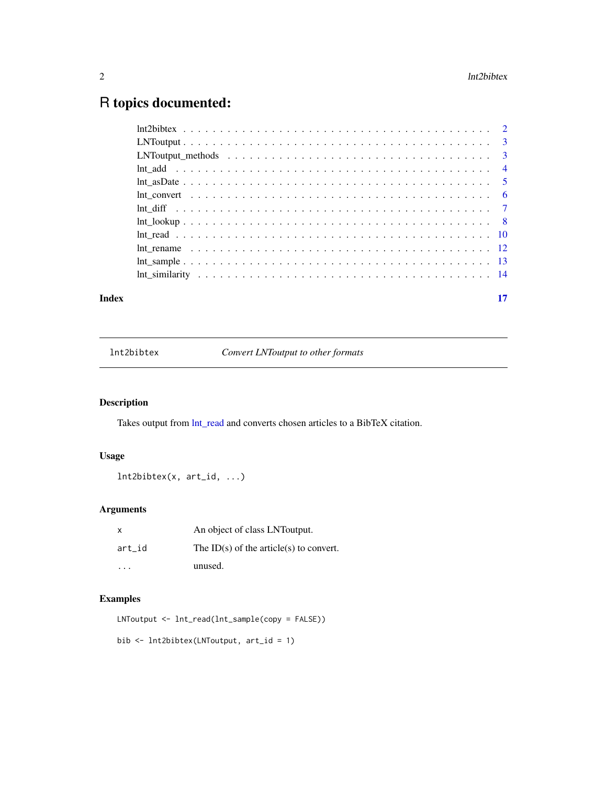## <span id="page-1-0"></span>R topics documented:

|       | $LNT output \dots \dots \dots \dots \dots \dots \dots \dots \dots \dots \dots \dots \dots \dots \dots \dots \dots \dots$ |    |
|-------|--------------------------------------------------------------------------------------------------------------------------|----|
|       |                                                                                                                          |    |
|       |                                                                                                                          |    |
|       |                                                                                                                          |    |
|       | Int convert $\dots \dots \dots \dots \dots \dots \dots \dots \dots \dots \dots \dots \dots \dots \dots \dots \dots$      |    |
|       |                                                                                                                          |    |
|       |                                                                                                                          |    |
|       |                                                                                                                          |    |
|       |                                                                                                                          |    |
|       |                                                                                                                          |    |
|       |                                                                                                                          |    |
| Index |                                                                                                                          | 17 |

lnt2bibtex *Convert LNToutput to other formats*

#### Description

Takes output from [lnt\\_read](#page-9-1) and converts chosen articles to a BibTeX citation.

#### Usage

```
lnt2bibtex(x, art_id, ...)
```
#### Arguments

| $\mathsf{x}$ | An object of class LNToutput.           |
|--------------|-----------------------------------------|
| art id       | The ID(s) of the article(s) to convert. |
| .            | unused.                                 |

#### Examples

LNToutput <- lnt\_read(lnt\_sample(copy = FALSE))

bib <- lnt2bibtex(LNToutput, art\_id = 1)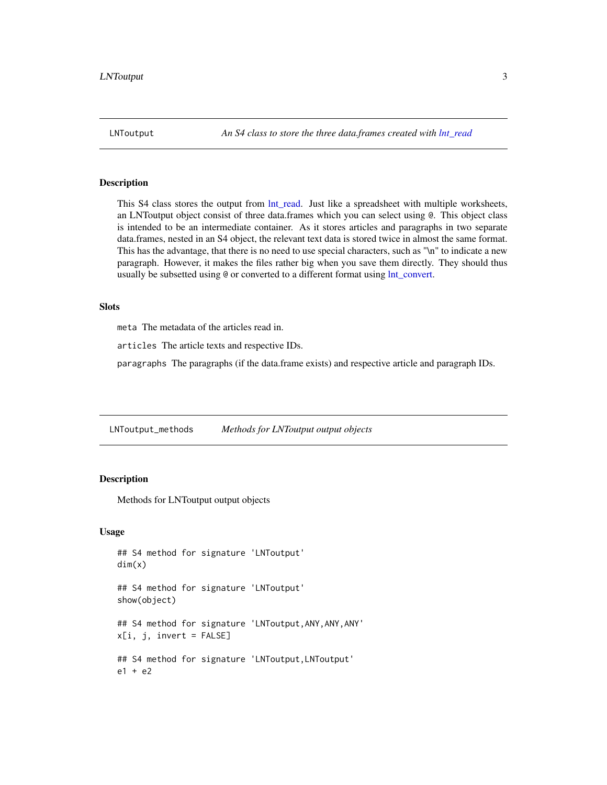<span id="page-2-1"></span><span id="page-2-0"></span>

This S4 class stores the output from lnt read. Just like a spreadsheet with multiple worksheets, an LNToutput object consist of three data.frames which you can select using @. This object class is intended to be an intermediate container. As it stores articles and paragraphs in two separate data.frames, nested in an S4 object, the relevant text data is stored twice in almost the same format. This has the advantage, that there is no need to use special characters, such as "\n" to indicate a new paragraph. However, it makes the files rather big when you save them directly. They should thus usually be subsetted using @ or converted to a different format using  $Int\_convert$ .

#### **Slots**

meta The metadata of the articles read in.

articles The article texts and respective IDs.

paragraphs The paragraphs (if the data.frame exists) and respective article and paragraph IDs.

LNToutput\_methods *Methods for LNToutput output objects*

#### **Description**

Methods for LNToutput output objects

#### Usage

```
## S4 method for signature 'LNToutput'
dim(x)
## S4 method for signature 'LNToutput'
show(object)
## S4 method for signature 'LNToutput,ANY,ANY,ANY'
x[i, j, invert = FALSE]## S4 method for signature 'LNToutput, LNToutput'
e1 + e2
```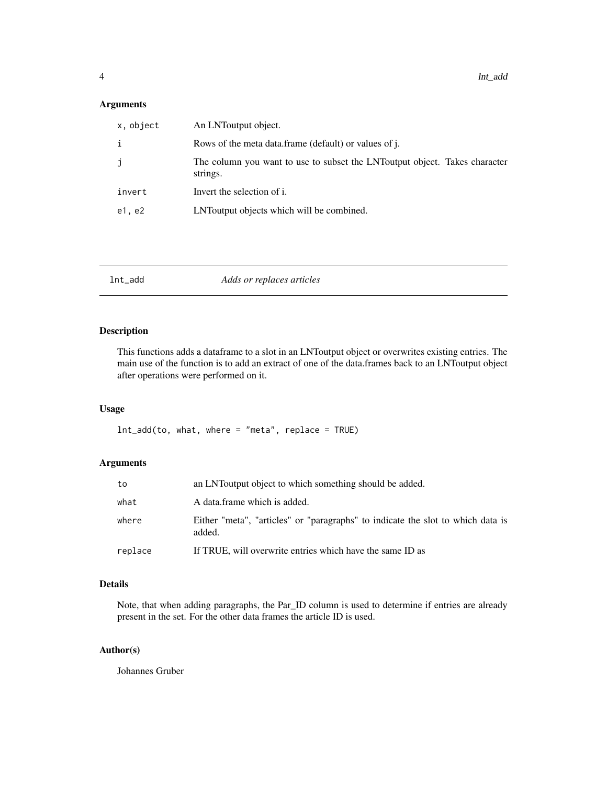#### <span id="page-3-0"></span>Arguments

| x, object | An LNToutput object.                                                                    |
|-----------|-----------------------------------------------------------------------------------------|
| i         | Rows of the meta data.frame (default) or values of j.                                   |
| j         | The column you want to use to subset the LNT output object. Takes character<br>strings. |
| invert    | Invert the selection of i.                                                              |
| e1, e2    | LNT output objects which will be combined.                                              |

#### Description

This functions adds a dataframe to a slot in an LNToutput object or overwrites existing entries. The main use of the function is to add an extract of one of the data.frames back to an LNToutput object after operations were performed on it.

#### Usage

 $Int\_add(to, what, where = "meta", replace = TRUE)$ 

#### Arguments

| what<br>A data frame which is added.                                                               |  |
|----------------------------------------------------------------------------------------------------|--|
| Either "meta", "articles" or "paragraphs" to indicate the slot to which data is<br>where<br>added. |  |
| If TRUE, will overwrite entries which have the same ID as<br>replace                               |  |

### Details

Note, that when adding paragraphs, the Par\_ID column is used to determine if entries are already present in the set. For the other data frames the article ID is used.

#### Author(s)

Johannes Gruber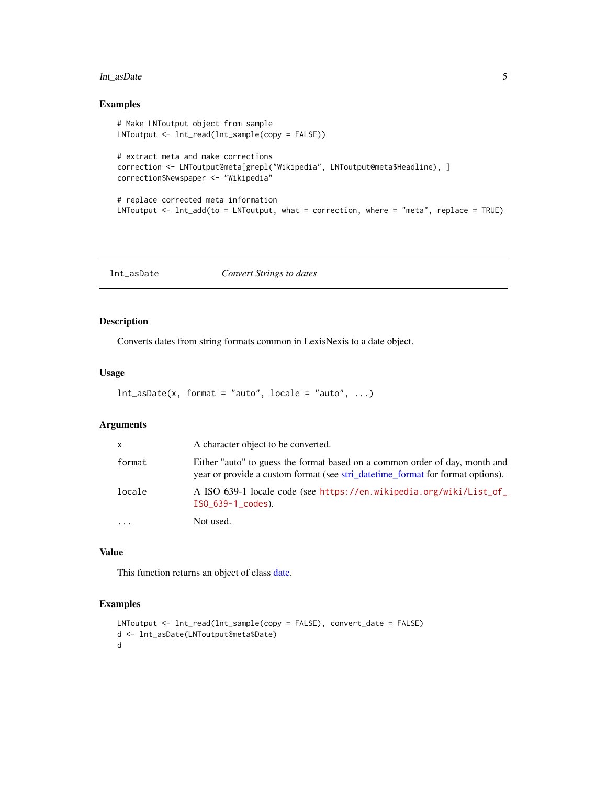#### <span id="page-4-0"></span>lnt\_asDate 5

#### Examples

```
# Make LNToutput object from sample
LNToutput <- lnt_read(lnt_sample(copy = FALSE))
# extract meta and make corrections
correction <- LNToutput@meta[grepl("Wikipedia", LNToutput@meta$Headline), ]
correction$Newspaper <- "Wikipedia"
# replace corrected meta information
LNToutput <- lnt_add(to = LNToutput, what = correction, where = "meta", replace = TRUE)
```
<span id="page-4-1"></span>lnt\_asDate *Convert Strings to dates*

#### Description

Converts dates from string formats common in LexisNexis to a date object.

#### Usage

```
Int\_\n  asDate(x, format = "auto", locale = "auto", ...)
```
#### Arguments

| $\cdots$     | Not used.                                                                                                                                                      |
|--------------|----------------------------------------------------------------------------------------------------------------------------------------------------------------|
| locale       | A ISO 639-1 locale code (see https://en.wikipedia.org/wiki/List_of_<br>$ISO_639-1\_codes$ .                                                                    |
| format       | Either "auto" to guess the format based on a common order of day, month and<br>year or provide a custom format (see stri_date time_format for format options). |
| $\mathsf{x}$ | A character object to be converted.                                                                                                                            |

#### Value

This function returns an object of class [date.](#page-0-0)

```
LNToutput <- lnt_read(lnt_sample(copy = FALSE), convert_date = FALSE)
d <- lnt_asDate(LNToutput@meta$Date)
d
```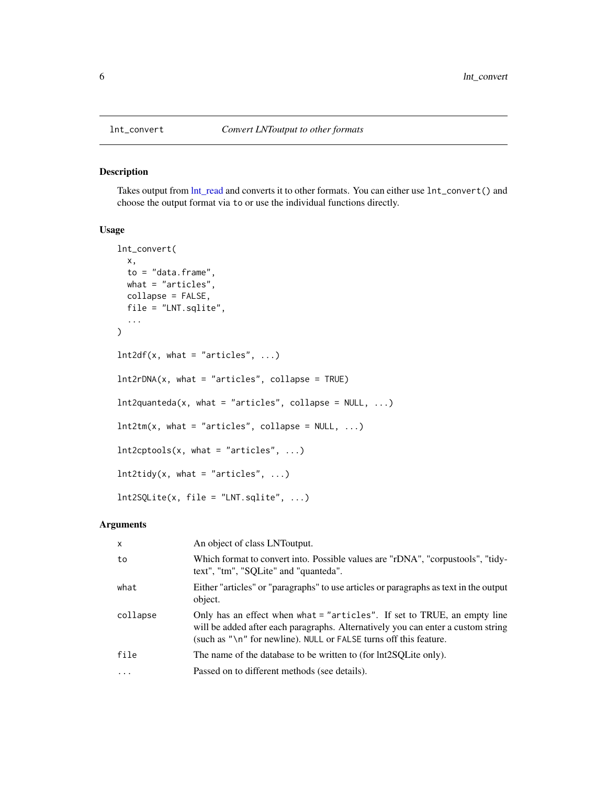<span id="page-5-1"></span><span id="page-5-0"></span>

Takes output from  $Int\_read$  and converts it to other formats. You can either use  $Int\_convert()$  and choose the output format via to or use the individual functions directly.

#### Usage

```
lnt_convert(
  x,
  to = "data.frame",
 what = "articles",
 collapse = FALSE,
  file = "LNT.sqlite",
  ...
\mathcal{L}Int2df(x, what = "articles", ...)lnt2rDNA(x, what = "articles", collapse = TRUE)
Int2quanteda(x, what = "articles", collapse = NULL, ...)
Int2tm(x, what = "articles", collapse = NULL, ...)Int2cptools(x, what = "articles", ...)Int2tidy(x, what = "articles", ...)lnt2SQLite(x, file = "LNT.sqlite", ...)
```
#### Arguments

| $\mathsf{x}$ | An object of class LNT output.                                                                                                                                                                                                             |
|--------------|--------------------------------------------------------------------------------------------------------------------------------------------------------------------------------------------------------------------------------------------|
| to           | Which format to convert into. Possible values are "rDNA", "corpustools", "tidy-<br>text", "tm", "SQLite" and "quanteda".                                                                                                                   |
| what         | Either "articles" or "paragraphs" to use articles or paragraphs as text in the output<br>object.                                                                                                                                           |
| collapse     | Only has an effect when what = "articles". If set to TRUE, an empty line<br>will be added after each paragraphs. Alternatively you can enter a custom string<br>(such as $"\n\n\in$ '' for newline). NULL or FALSE turns off this feature. |
| file         | The name of the database to be written to (for $Int2SQL$ ite only).                                                                                                                                                                        |
| $\ddots$     | Passed on to different methods (see details).                                                                                                                                                                                              |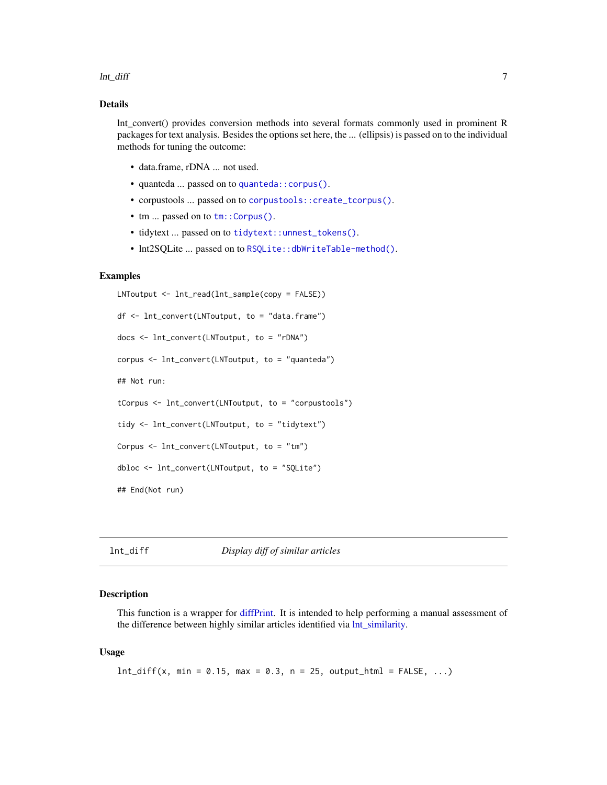#### <span id="page-6-0"></span>lnt\_diff 7 7

#### Details

lnt\_convert() provides conversion methods into several formats commonly used in prominent R packages for text analysis. Besides the options set here, the ... (ellipsis) is passed on to the individual methods for tuning the outcome:

- data.frame, rDNA ... not used.
- quanteda ... passed on to [quanteda::corpus\(\)](#page-0-0).
- corpustools ... passed on to [corpustools::create\\_tcorpus\(\)](#page-0-0).
- tm ... passed on to  $tm$ : : Corpus().
- tidytext ... passed on to [tidytext::unnest\\_tokens\(\)](#page-0-0).
- Int2SQLite ... passed on to [RSQLite::dbWriteTable-method\(\)](#page-0-0).

#### Examples

```
LNToutput <- lnt_read(lnt_sample(copy = FALSE))
df <- lnt_convert(LNToutput, to = "data.frame")
docs <- lnt_convert(LNToutput, to = "rDNA")
corpus <- lnt_convert(LNToutput, to = "quanteda")
## Not run:
tCorpus <- lnt_convert(LNToutput, to = "corpustools")
tidy <- lnt_convert(LNToutput, to = "tidytext")
Corpus <- lnt_convert(LNToutput, to = "tm")
dbloc <- lnt_convert(LNToutput, to = "SQLite")
## End(Not run)
```
#### lnt\_diff *Display diff of similar articles*

#### Description

This function is a wrapper for [diffPrint.](#page-0-0) It is intended to help performing a manual assessment of the difference between highly similar articles identified via [lnt\\_similarity.](#page-13-1)

#### Usage

 $Int\_diff(x, min = 0.15, max = 0.3, n = 25, output\_html = FALSE, ...)$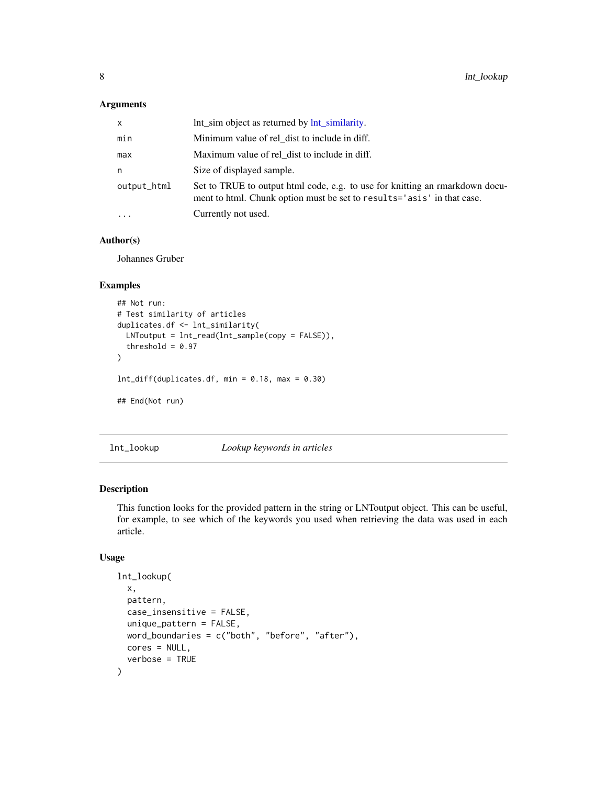#### <span id="page-7-0"></span>Arguments

| X           | Int sim object as returned by Int similarity.                                                                                                          |
|-------------|--------------------------------------------------------------------------------------------------------------------------------------------------------|
| min         | Minimum value of rel dist to include in diff.                                                                                                          |
| max         | Maximum value of rel dist to include in diff.                                                                                                          |
| n           | Size of displayed sample.                                                                                                                              |
| output_html | Set to TRUE to output html code, e.g. to use for knitting an rmarkdown docu-<br>ment to html. Chunk option must be set to results='asis' in that case. |
| $\ddots$ .  | Currently not used.                                                                                                                                    |

#### Author(s)

Johannes Gruber

#### Examples

```
## Not run:
# Test similarity of articles
duplicates.df <- lnt_similarity(
  LNToutput = lnt_read(lnt_sample(copy = FALSE)),
  threshold = 0.97)
Int\_diff(duplicates.df, min = 0.18, max = 0.30)## End(Not run)
```
lnt\_lookup *Lookup keywords in articles*

#### Description

This function looks for the provided pattern in the string or LNToutput object. This can be useful, for example, to see which of the keywords you used when retrieving the data was used in each article.

#### Usage

```
lnt_lookup(
  x,
 pattern,
  case_insensitive = FALSE,
  unique_pattern = FALSE,
 word_boundaries = c("both", "before", "after"),
 cores = NULL,
  verbose = TRUE
\mathcal{E}
```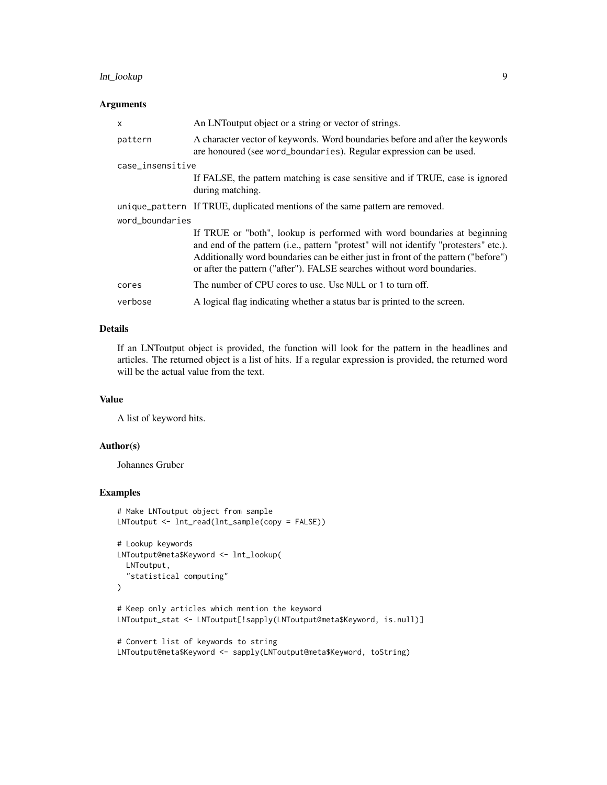#### lnt\_lookup 9

#### Arguments

| $\mathsf{x}$     | An LNT output object or a string or vector of strings.                                                                                                                                                                                                                                                                             |  |
|------------------|------------------------------------------------------------------------------------------------------------------------------------------------------------------------------------------------------------------------------------------------------------------------------------------------------------------------------------|--|
| pattern          | A character vector of keywords. Word boundaries before and after the keywords<br>are honoured (see word_boundaries). Regular expression can be used.                                                                                                                                                                               |  |
| case_insensitive |                                                                                                                                                                                                                                                                                                                                    |  |
|                  | If FALSE, the pattern matching is case sensitive and if TRUE, case is ignored<br>during matching.                                                                                                                                                                                                                                  |  |
|                  | unique_pattern If TRUE, duplicated mentions of the same pattern are removed.                                                                                                                                                                                                                                                       |  |
| word_boundaries  |                                                                                                                                                                                                                                                                                                                                    |  |
|                  | If TRUE or "both", lookup is performed with word boundaries at beginning<br>and end of the pattern (i.e., pattern "protest" will not identify "protesters" etc.).<br>Additionally word boundaries can be either just in front of the pattern ("before")<br>or after the pattern ("after"). FALSE searches without word boundaries. |  |
| cores            | The number of CPU cores to use. Use NULL or 1 to turn off.                                                                                                                                                                                                                                                                         |  |
| verbose          | A logical flag indicating whether a status bar is printed to the screen.                                                                                                                                                                                                                                                           |  |

#### Details

If an LNToutput object is provided, the function will look for the pattern in the headlines and articles. The returned object is a list of hits. If a regular expression is provided, the returned word will be the actual value from the text.

#### Value

A list of keyword hits.

#### Author(s)

Johannes Gruber

```
# Make LNToutput object from sample
LNToutput <- lnt_read(lnt_sample(copy = FALSE))
# Lookup keywords
LNToutput@meta$Keyword <- lnt_lookup(
 LNToutput,
  "statistical computing"
\mathcal{L}# Keep only articles which mention the keyword
LNToutput_stat <- LNToutput[!sapply(LNToutput@meta$Keyword, is.null)]
# Convert list of keywords to string
LNToutput@meta$Keyword <- sapply(LNToutput@meta$Keyword, toString)
```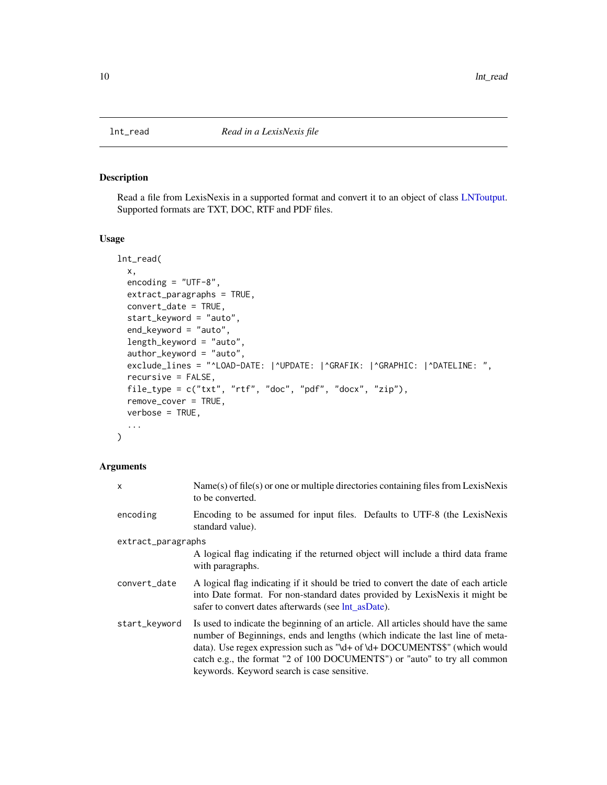<span id="page-9-1"></span><span id="page-9-0"></span>

Read a file from LexisNexis in a supported format and convert it to an object of class [LNToutput.](#page-2-1) Supported formats are TXT, DOC, RTF and PDF files.

#### Usage

```
lnt_read(
  x,
  encoding = "UTF-8",
  extract_paragraphs = TRUE,
  convert_date = TRUE,
  start_keyword = "auto",
  end_keyword = "auto",
  length_keyword = "auto",
  author_keyword = "auto",
  exclude_lines = "^LOAD-DATE: |^UPDATE: |^GRAFIK: |^GRAPHIC: |^DATELINE: ",
  recursive = FALSE,
  file_type = c("txt", "rtf", "doc", "pdf", "docx", "zip"),
  remove_cover = TRUE,
  verbose = TRUE,
  ...
\mathcal{L}
```
#### Arguments

| X                  | $Name(s)$ of file(s) or one or multiple directories containing files from LexisNexis<br>to be converted.                                                                                                                                                                                                                                                                    |
|--------------------|-----------------------------------------------------------------------------------------------------------------------------------------------------------------------------------------------------------------------------------------------------------------------------------------------------------------------------------------------------------------------------|
| encoding           | Encoding to be assumed for input files. Defaults to UTF-8 (the LexisNexis<br>standard value).                                                                                                                                                                                                                                                                               |
| extract_paragraphs |                                                                                                                                                                                                                                                                                                                                                                             |
|                    | A logical flag indicating if the returned object will include a third data frame<br>with paragraphs.                                                                                                                                                                                                                                                                        |
| convert_date       | A logical flag indicating if it should be tried to convert the date of each article<br>into Date format. For non-standard dates provided by LexisNexis it might be<br>safer to convert dates afterwards (see lnt as Date).                                                                                                                                                  |
| start_keyword      | Is used to indicate the beginning of an article. All articles should have the same<br>number of Beginnings, ends and lengths (which indicate the last line of meta-<br>data). Use regex expression such as "\d+ of \d+ DOCUMENTS\$" (which would<br>catch e.g., the format "2 of 100 DOCUMENTS") or "auto" to try all common<br>keywords. Keyword search is case sensitive. |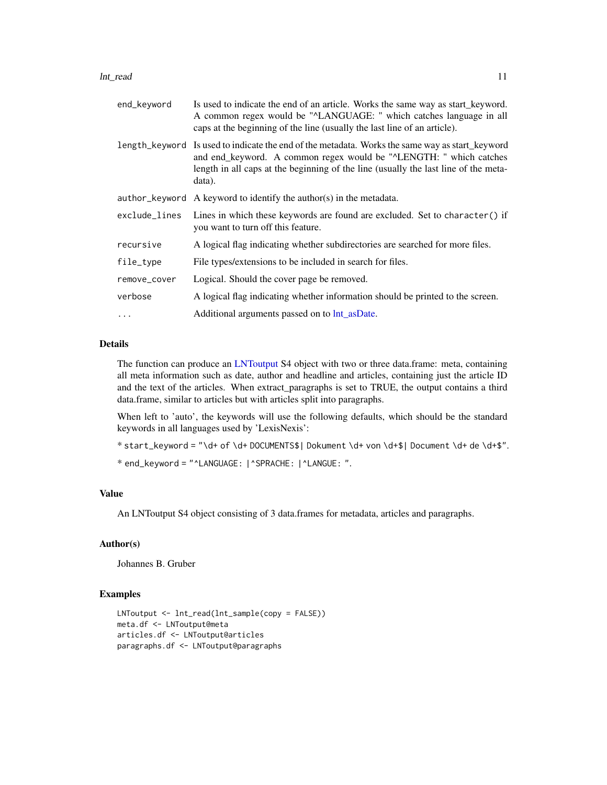#### <span id="page-10-0"></span>lnt\_read 11

| end_keyword   | Is used to indicate the end of an article. Works the same way as start_keyword.<br>A common regex would be "^LANGUAGE: " which catches language in all<br>caps at the beginning of the line (usually the last line of an article).                                     |
|---------------|------------------------------------------------------------------------------------------------------------------------------------------------------------------------------------------------------------------------------------------------------------------------|
|               | length_keyword Is used to indicate the end of the metadata. Works the same way as start_keyword<br>and end_keyword. A common regex would be "^LENGTH: " which catches<br>length in all caps at the beginning of the line (usually the last line of the meta-<br>data). |
|               | author keyword A keyword to identify the author(s) in the metadata.                                                                                                                                                                                                    |
| exclude_lines | Lines in which these keywords are found are excluded. Set to character() if<br>you want to turn off this feature.                                                                                                                                                      |
| recursive     | A logical flag indicating whether subdirectories are searched for more files.                                                                                                                                                                                          |
| file_type     | File types/extensions to be included in search for files.                                                                                                                                                                                                              |
| remove_cover  | Logical. Should the cover page be removed.                                                                                                                                                                                                                             |
| verbose       | A logical flag indicating whether information should be printed to the screen.                                                                                                                                                                                         |
| $\cdots$      | Additional arguments passed on to $Int$ <sub>_as</sub> Date.                                                                                                                                                                                                           |

#### Details

The function can produce an [LNToutput](#page-2-1) S4 object with two or three data.frame: meta, containing all meta information such as date, author and headline and articles, containing just the article ID and the text of the articles. When extract\_paragraphs is set to TRUE, the output contains a third data.frame, similar to articles but with articles split into paragraphs.

When left to 'auto', the keywords will use the following defaults, which should be the standard keywords in all languages used by 'LexisNexis':

```
* start_keyword = "\d+ of \d+ DOCUMENTS$| Dokument \d+ von \d+$| Document \d+ de \d+$".
```
\* end\_keyword = "^LANGUAGE: |^SPRACHE: |^LANGUE: ".

#### Value

An LNToutput S4 object consisting of 3 data.frames for metadata, articles and paragraphs.

#### Author(s)

Johannes B. Gruber

```
LNToutput <- lnt_read(lnt_sample(copy = FALSE))
meta.df <- LNToutput@meta
articles.df <- LNToutput@articles
paragraphs.df <- LNToutput@paragraphs
```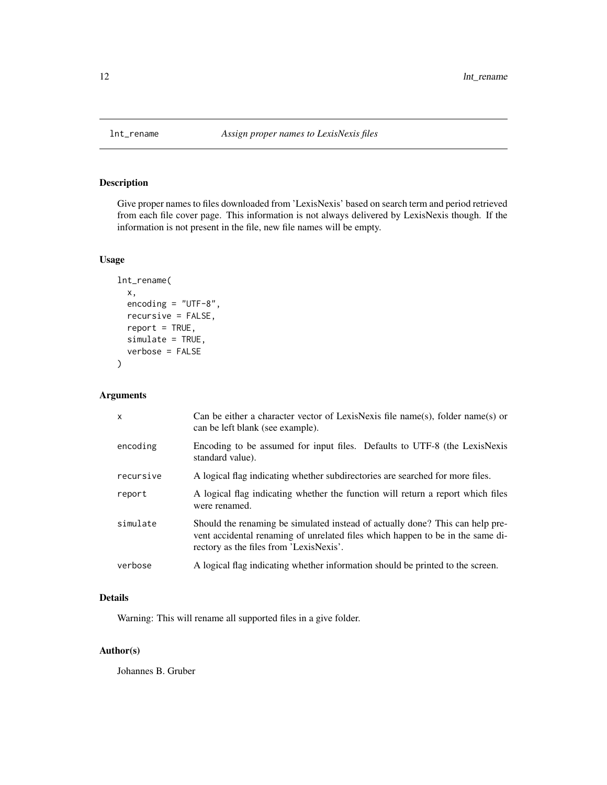<span id="page-11-0"></span>

Give proper names to files downloaded from 'LexisNexis' based on search term and period retrieved from each file cover page. This information is not always delivered by LexisNexis though. If the information is not present in the file, new file names will be empty.

#### Usage

```
lnt_rename(
  x,
  encoding = "UTF-8",
  recursive = FALSE,
  report = TRUE,simulate = TRUE,
  verbose = FALSE
)
```
#### Arguments

| $\mathsf{x}$ | Can be either a character vector of LexisNexis file name(s), folder name(s) or<br>can be left blank (see example).                                                                                         |
|--------------|------------------------------------------------------------------------------------------------------------------------------------------------------------------------------------------------------------|
| encoding     | Encoding to be assumed for input files. Defaults to UTF-8 (the LexisNexis<br>standard value).                                                                                                              |
| recursive    | A logical flag indicating whether subdirectories are searched for more files.                                                                                                                              |
| report       | A logical flag indicating whether the function will return a report which files<br>were renamed.                                                                                                           |
| simulate     | Should the renaming be simulated instead of actually done? This can help pre-<br>vent accidental renaming of unrelated files which happen to be in the same di-<br>rectory as the files from 'LexisNexis'. |
| verbose      | A logical flag indicating whether information should be printed to the screen.                                                                                                                             |

#### Details

Warning: This will rename all supported files in a give folder.

#### Author(s)

Johannes B. Gruber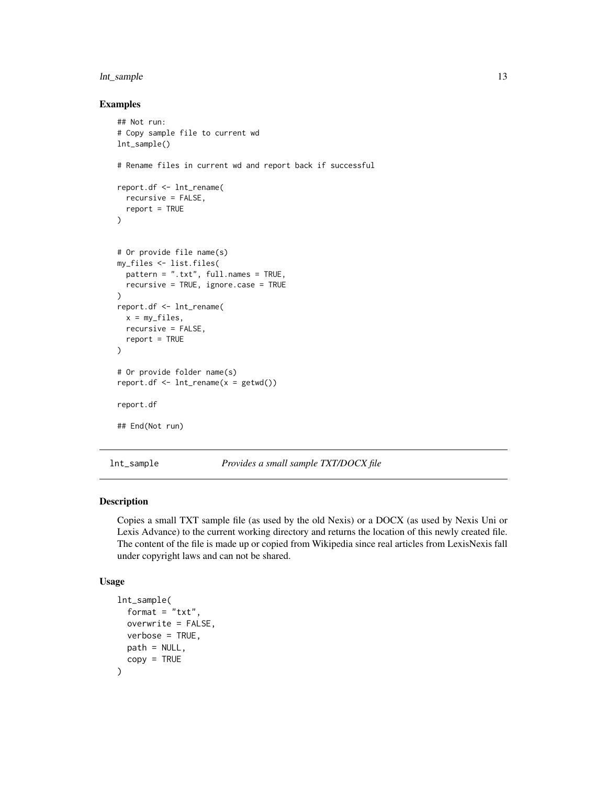#### <span id="page-12-0"></span>lnt\_sample 13

#### Examples

```
## Not run:
# Copy sample file to current wd
lnt_sample()
# Rename files in current wd and report back if successful
report.df <- lnt_rename(
  recursive = FALSE,
  report = TRUE
)
# Or provide file name(s)
my_files <- list.files(
  pattern = ".txt", full.names = TRUE,
  recursive = TRUE, ignore.case = TRUE
\mathcal{L}report.df <- lnt_rename(
  x = my_{\text{files}}recursive = FALSE,
  report = TRUE
)
# Or provide folder name(s)
report.df \leftarrow Int\_rename(x = getwd())report.df
## End(Not run)
```
lnt\_sample *Provides a small sample TXT/DOCX file*

#### Description

Copies a small TXT sample file (as used by the old Nexis) or a DOCX (as used by Nexis Uni or Lexis Advance) to the current working directory and returns the location of this newly created file. The content of the file is made up or copied from Wikipedia since real articles from LexisNexis fall under copyright laws and can not be shared.

#### Usage

```
lnt_sample(
  format = "txt",overwrite = FALSE,
  verbose = TRUE,
 path = NULL,
  copy = TRUE)
```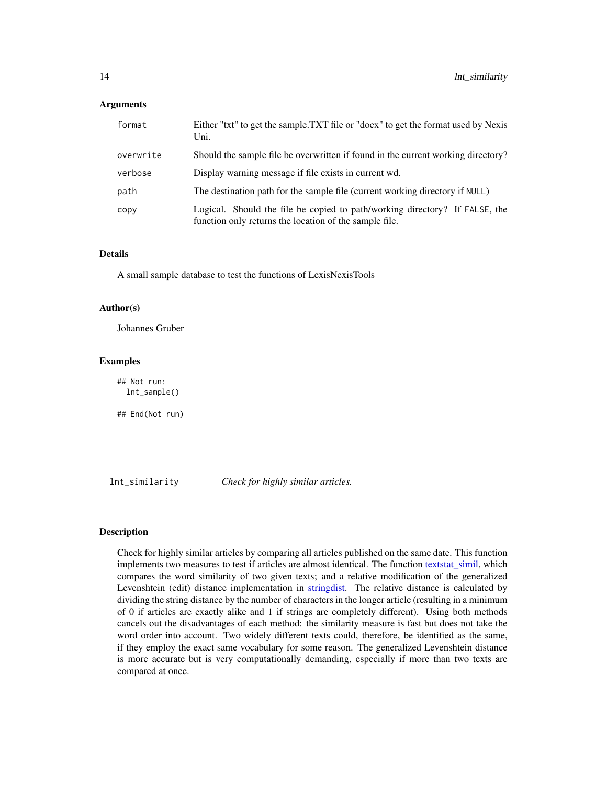#### <span id="page-13-0"></span>**Arguments**

| format    | Either "txt" to get the sample.TXT file or "docx" to get the format used by Nexis<br>Uni.                                             |
|-----------|---------------------------------------------------------------------------------------------------------------------------------------|
| overwrite | Should the sample file be overwritten if found in the current working directory?                                                      |
| verbose   | Display warning message if file exists in current wd.                                                                                 |
| path      | The destination path for the sample file (current working directory if NULL)                                                          |
| copy      | Logical. Should the file be copied to path/working directory? If FALSE, the<br>function only returns the location of the sample file. |

#### Details

A small sample database to test the functions of LexisNexisTools

#### Author(s)

Johannes Gruber

#### Examples

## Not run: lnt\_sample()

## End(Not run)

<span id="page-13-1"></span>lnt\_similarity *Check for highly similar articles.*

#### Description

Check for highly similar articles by comparing all articles published on the same date. This function implements two measures to test if articles are almost identical. The function [textstat\\_simil,](#page-0-0) which compares the word similarity of two given texts; and a relative modification of the generalized Levenshtein (edit) distance implementation in [stringdist.](#page-0-0) The relative distance is calculated by dividing the string distance by the number of characters in the longer article (resulting in a minimum of 0 if articles are exactly alike and 1 if strings are completely different). Using both methods cancels out the disadvantages of each method: the similarity measure is fast but does not take the word order into account. Two widely different texts could, therefore, be identified as the same, if they employ the exact same vocabulary for some reason. The generalized Levenshtein distance is more accurate but is very computationally demanding, especially if more than two texts are compared at once.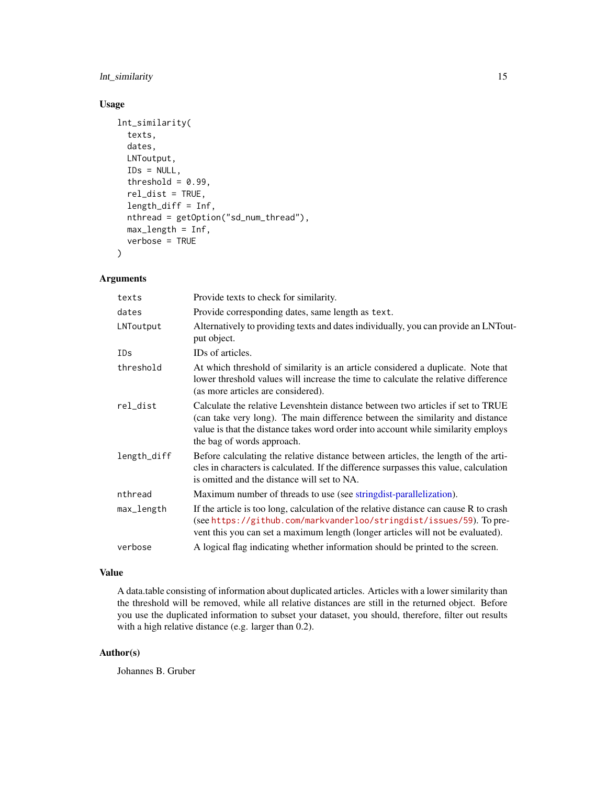#### <span id="page-14-0"></span>lnt\_similarity 15

#### Usage

```
lnt_similarity(
  texts,
  dates,
 LNToutput,
  IDS = NULL,threshold = 0.99,
  rel_dist = TRUE,
  length_diff = Inf,
  nthread = getOption("sd_num_thread"),
 max_length = Inf,
  verbose = TRUE
)
```
#### Arguments

| texts       | Provide texts to check for similarity.                                                                                                                                                                                                                                              |
|-------------|-------------------------------------------------------------------------------------------------------------------------------------------------------------------------------------------------------------------------------------------------------------------------------------|
| dates       | Provide corresponding dates, same length as text.                                                                                                                                                                                                                                   |
| LNToutput   | Alternatively to providing texts and dates individually, you can provide an LNTout-<br>put object.                                                                                                                                                                                  |
| <b>IDs</b>  | IDs of articles.                                                                                                                                                                                                                                                                    |
| threshold   | At which threshold of similarity is an article considered a duplicate. Note that<br>lower threshold values will increase the time to calculate the relative difference<br>(as more articles are considered).                                                                        |
| rel_dist    | Calculate the relative Levenshtein distance between two articles if set to TRUE<br>(can take very long). The main difference between the similarity and distance<br>value is that the distance takes word order into account while similarity employs<br>the bag of words approach. |
| length_diff | Before calculating the relative distance between articles, the length of the arti-<br>cles in characters is calculated. If the difference surpasses this value, calculation<br>is omitted and the distance will set to NA.                                                          |
| nthread     | Maximum number of threads to use (see string dist-parallelization).                                                                                                                                                                                                                 |
| max_length  | If the article is too long, calculation of the relative distance can cause R to crash<br>(see https://github.com/markvanderloo/stringdist/issues/59). To pre-<br>vent this you can set a maximum length (longer articles will not be evaluated).                                    |
| verbose     | A logical flag indicating whether information should be printed to the screen.                                                                                                                                                                                                      |

#### Value

A data.table consisting of information about duplicated articles. Articles with a lower similarity than the threshold will be removed, while all relative distances are still in the returned object. Before you use the duplicated information to subset your dataset, you should, therefore, filter out results with a high relative distance (e.g. larger than 0.2).

#### Author(s)

Johannes B. Gruber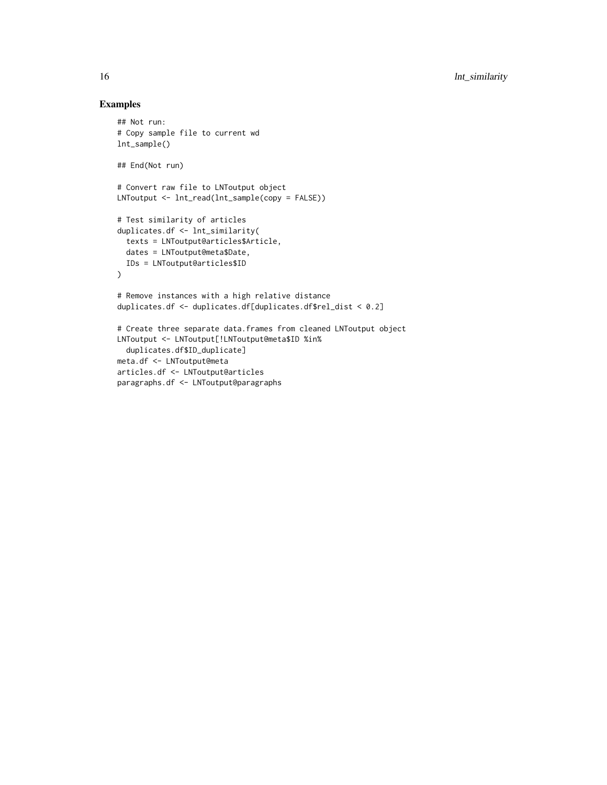```
## Not run:
# Copy sample file to current wd
lnt_sample()
## End(Not run)
# Convert raw file to LNToutput object
LNToutput <- lnt_read(lnt_sample(copy = FALSE))
# Test similarity of articles
duplicates.df <- lnt_similarity(
  texts = LNToutput@articles$Article,
 dates = LNToutput@meta$Date,
 IDs = LNToutput@articles$ID
)
# Remove instances with a high relative distance
duplicates.df <- duplicates.df[duplicates.df$rel_dist < 0.2]
# Create three separate data.frames from cleaned LNToutput object
LNToutput <- LNToutput[!LNToutput@meta$ID %in%
  duplicates.df$ID_duplicate]
meta.df <- LNToutput@meta
articles.df <- LNToutput@articles
paragraphs.df <- LNToutput@paragraphs
```